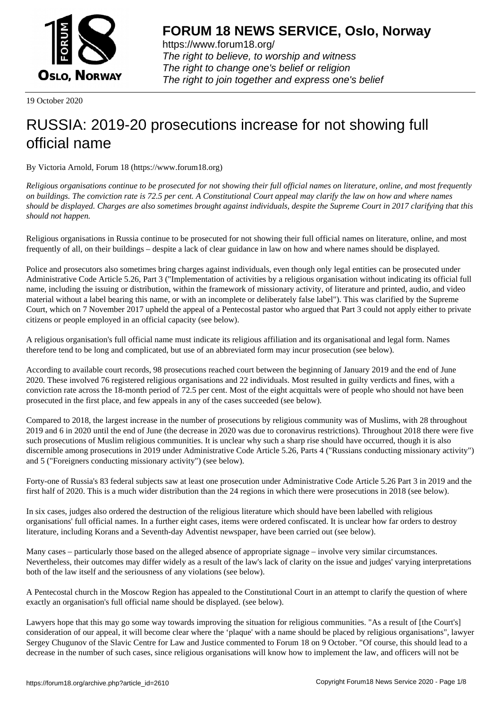

https://www.forum18.org/ The right to believe, to worship and witness The right to change one's belief or religion [The right to join together a](https://www.forum18.org/)nd express one's belief

19 October 2020

# [RUSSIA: 2019-](https://www.forum18.org)20 prosecutions increase for not showing full official name

By Victoria Arnold, Forum 18 (https://www.forum18.org)

*Religious organisations continue to be prosecuted for not showing their full official names on literature, online, and most frequently on buildings. The conviction rate is 72.5 per cent. A Constitutional Court appeal may clarify the law on how and where names should be displayed. Charges are also sometimes brought against individuals, despite the Supreme Court in 2017 clarifying that this should not happen.*

Religious organisations in Russia continue to be prosecuted for not showing their full official names on literature, online, and most frequently of all, on their buildings – despite a lack of clear guidance in law on how and where names should be displayed.

Police and prosecutors also sometimes bring charges against individuals, even though only legal entities can be prosecuted under Administrative Code Article 5.26, Part 3 ("Implementation of activities by a religious organisation without indicating its official full name, including the issuing or distribution, within the framework of missionary activity, of literature and printed, audio, and video material without a label bearing this name, or with an incomplete or deliberately false label"). This was clarified by the Supreme Court, which on 7 November 2017 upheld the appeal of a Pentecostal pastor who argued that Part 3 could not apply either to private citizens or people employed in an official capacity (see below).

A religious organisation's full official name must indicate its religious affiliation and its organisational and legal form. Names therefore tend to be long and complicated, but use of an abbreviated form may incur prosecution (see below).

According to available court records, 98 prosecutions reached court between the beginning of January 2019 and the end of June 2020. These involved 76 registered religious organisations and 22 individuals. Most resulted in guilty verdicts and fines, with a conviction rate across the 18-month period of 72.5 per cent. Most of the eight acquittals were of people who should not have been prosecuted in the first place, and few appeals in any of the cases succeeded (see below).

Compared to 2018, the largest increase in the number of prosecutions by religious community was of Muslims, with 28 throughout 2019 and 6 in 2020 until the end of June (the decrease in 2020 was due to coronavirus restrictions). Throughout 2018 there were five such prosecutions of Muslim religious communities. It is unclear why such a sharp rise should have occurred, though it is also discernible among prosecutions in 2019 under Administrative Code Article 5.26, Parts 4 ("Russians conducting missionary activity") and 5 ("Foreigners conducting missionary activity") (see below).

Forty-one of Russia's 83 federal subjects saw at least one prosecution under Administrative Code Article 5.26 Part 3 in 2019 and the first half of 2020. This is a much wider distribution than the 24 regions in which there were prosecutions in 2018 (see below).

In six cases, judges also ordered the destruction of the religious literature which should have been labelled with religious organisations' full official names. In a further eight cases, items were ordered confiscated. It is unclear how far orders to destroy literature, including Korans and a Seventh-day Adventist newspaper, have been carried out (see below).

Many cases – particularly those based on the alleged absence of appropriate signage – involve very similar circumstances. Nevertheless, their outcomes may differ widely as a result of the law's lack of clarity on the issue and judges' varying interpretations both of the law itself and the seriousness of any violations (see below).

A Pentecostal church in the Moscow Region has appealed to the Constitutional Court in an attempt to clarify the question of where exactly an organisation's full official name should be displayed. (see below).

Lawyers hope that this may go some way towards improving the situation for religious communities. "As a result of [the Court's] consideration of our appeal, it will become clear where the 'plaque' with a name should be placed by religious organisations", lawyer Sergey Chugunov of the Slavic Centre for Law and Justice commented to Forum 18 on 9 October. "Of course, this should lead to a decrease in the number of such cases, since religious organisations will know how to implement the law, and officers will not be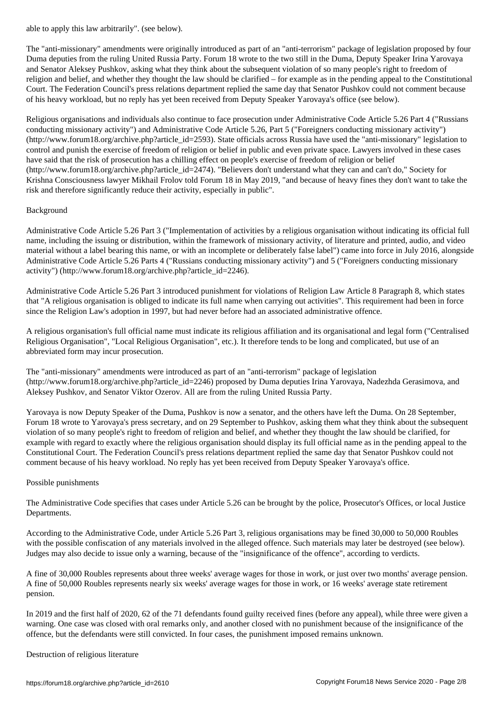The "anti-missionary" amendments were originally introduced as part of an "anti-terrorism" package of legislation proposed by four Duma deputies from the ruling United Russia Party. Forum 18 wrote to the two still in the Duma, Deputy Speaker Irina Yarovaya and Senator Aleksey Pushkov, asking what they think about the subsequent violation of so many people's right to freedom of religion and belief, and whether they thought the law should be clarified – for example as in the pending appeal to the Constitutional Court. The Federation Council's press relations department replied the same day that Senator Pushkov could not comment because of his heavy workload, but no reply has yet been received from Deputy Speaker Yarovaya's office (see below).

Religious organisations and individuals also continue to face prosecution under Administrative Code Article 5.26 Part 4 ("Russians conducting missionary activity") and Administrative Code Article 5.26, Part 5 ("Foreigners conducting missionary activity") (http://www.forum18.org/archive.php?article\_id=2593). State officials across Russia have used the "anti-missionary" legislation to control and punish the exercise of freedom of religion or belief in public and even private space. Lawyers involved in these cases have said that the risk of prosecution has a chilling effect on people's exercise of freedom of religion or belief (http://www.forum18.org/archive.php?article\_id=2474). "Believers don't understand what they can and can't do," Society for Krishna Consciousness lawyer Mikhail Frolov told Forum 18 in May 2019, "and because of heavy fines they don't want to take the risk and therefore significantly reduce their activity, especially in public".

## Background

Administrative Code Article 5.26 Part 3 ("Implementation of activities by a religious organisation without indicating its official full name, including the issuing or distribution, within the framework of missionary activity, of literature and printed, audio, and video material without a label bearing this name, or with an incomplete or deliberately false label") came into force in July 2016, alongside Administrative Code Article 5.26 Parts 4 ("Russians conducting missionary activity") and 5 ("Foreigners conducting missionary activity") (http://www.forum18.org/archive.php?article\_id=2246).

Administrative Code Article 5.26 Part 3 introduced punishment for violations of Religion Law Article 8 Paragraph 8, which states that "A religious organisation is obliged to indicate its full name when carrying out activities". This requirement had been in force since the Religion Law's adoption in 1997, but had never before had an associated administrative offence.

A religious organisation's full official name must indicate its religious affiliation and its organisational and legal form ("Centralised Religious Organisation", "Local Religious Organisation", etc.). It therefore tends to be long and complicated, but use of an abbreviated form may incur prosecution.

The "anti-missionary" amendments were introduced as part of an "anti-terrorism" package of legislation (http://www.forum18.org/archive.php?article\_id=2246) proposed by Duma deputies Irina Yarovaya, Nadezhda Gerasimova, and Aleksey Pushkov, and Senator Viktor Ozerov. All are from the ruling United Russia Party.

Yarovaya is now Deputy Speaker of the Duma, Pushkov is now a senator, and the others have left the Duma. On 28 September, Forum 18 wrote to Yarovaya's press secretary, and on 29 September to Pushkov, asking them what they think about the subsequent violation of so many people's right to freedom of religion and belief, and whether they thought the law should be clarified, for example with regard to exactly where the religious organisation should display its full official name as in the pending appeal to the Constitutional Court. The Federation Council's press relations department replied the same day that Senator Pushkov could not comment because of his heavy workload. No reply has yet been received from Deputy Speaker Yarovaya's office.

## Possible punishments

The Administrative Code specifies that cases under Article 5.26 can be brought by the police, Prosecutor's Offices, or local Justice Departments.

According to the Administrative Code, under Article 5.26 Part 3, religious organisations may be fined 30,000 to 50,000 Roubles with the possible confiscation of any materials involved in the alleged offence. Such materials may later be destroyed (see below). Judges may also decide to issue only a warning, because of the "insignificance of the offence", according to verdicts.

A fine of 30,000 Roubles represents about three weeks' average wages for those in work, or just over two months' average pension. A fine of 50,000 Roubles represents nearly six weeks' average wages for those in work, or 16 weeks' average state retirement pension.

In 2019 and the first half of 2020, 62 of the 71 defendants found guilty received fines (before any appeal), while three were given a warning. One case was closed with oral remarks only, and another closed with no punishment because of the insignificance of the offence, but the defendants were still convicted. In four cases, the punishment imposed remains unknown.

Destruction of religious literature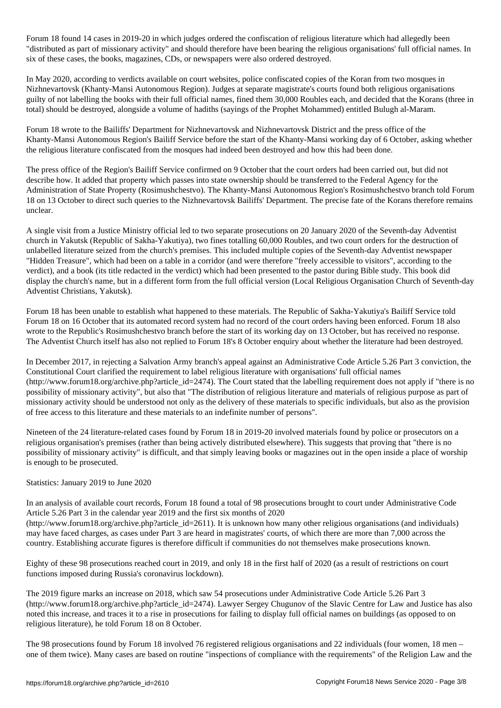Forum 18 found 14 cases in 2019-20 in which judges ordered the confiscation of religious literature which had allegedly been "distributed as part of missionary activity" and should therefore have been bearing the religious organisations' full official names. In six of these cases, the books, magazines, CDs, or newspapers were also ordered destroyed.

In May 2020, according to verdicts available on court websites, police confiscated copies of the Koran from two mosques in Nizhnevartovsk (Khanty-Mansi Autonomous Region). Judges at separate magistrate's courts found both religious organisations guilty of not labelling the books with their full official names, fined them 30,000 Roubles each, and decided that the Korans (three in total) should be destroyed, alongside a volume of hadiths (sayings of the Prophet Mohammed) entitled Bulugh al-Maram.

Forum 18 wrote to the Bailiffs' Department for Nizhnevartovsk and Nizhnevartovsk District and the press office of the Khanty-Mansi Autonomous Region's Bailiff Service before the start of the Khanty-Mansi working day of 6 October, asking whether the religious literature confiscated from the mosques had indeed been destroyed and how this had been done.

The press office of the Region's Bailiff Service confirmed on 9 October that the court orders had been carried out, but did not describe how. It added that property which passes into state ownership should be transferred to the Federal Agency for the Administration of State Property (Rosimushchestvo). The Khanty-Mansi Autonomous Region's Rosimushchestvo branch told Forum 18 on 13 October to direct such queries to the Nizhnevartovsk Bailiffs' Department. The precise fate of the Korans therefore remains unclear.

A single visit from a Justice Ministry official led to two separate prosecutions on 20 January 2020 of the Seventh-day Adventist church in Yakutsk (Republic of Sakha-Yakutiya), two fines totalling 60,000 Roubles, and two court orders for the destruction of unlabelled literature seized from the church's premises. This included multiple copies of the Seventh-day Adventist newspaper "Hidden Treasure", which had been on a table in a corridor (and were therefore "freely accessible to visitors", according to the verdict), and a book (its title redacted in the verdict) which had been presented to the pastor during Bible study. This book did display the church's name, but in a different form from the full official version (Local Religious Organisation Church of Seventh-day Adventist Christians, Yakutsk).

Forum 18 has been unable to establish what happened to these materials. The Republic of Sakha-Yakutiya's Bailiff Service told Forum 18 on 16 October that its automated record system had no record of the court orders having been enforced. Forum 18 also wrote to the Republic's Rosimushchestvo branch before the start of its working day on 13 October, but has received no response. The Adventist Church itself has also not replied to Forum 18's 8 October enquiry about whether the literature had been destroyed.

In December 2017, in rejecting a Salvation Army branch's appeal against an Administrative Code Article 5.26 Part 3 conviction, the Constitutional Court clarified the requirement to label religious literature with organisations' full official names  $(\text{http://www.forum18.org/architecture.php?article id=2474}).$  The Court stated that the labelling requirement does not apply if "there is no possibility of missionary activity", but also that "The distribution of religious literature and materials of religious purpose as part of missionary activity should be understood not only as the delivery of these materials to specific individuals, but also as the provision of free access to this literature and these materials to an indefinite number of persons".

Nineteen of the 24 literature-related cases found by Forum 18 in 2019-20 involved materials found by police or prosecutors on a religious organisation's premises (rather than being actively distributed elsewhere). This suggests that proving that "there is no possibility of missionary activity" is difficult, and that simply leaving books or magazines out in the open inside a place of worship is enough to be prosecuted.

## Statistics: January 2019 to June 2020

In an analysis of available court records, Forum 18 found a total of 98 prosecutions brought to court under Administrative Code Article 5.26 Part 3 in the calendar year 2019 and the first six months of 2020 (http://www.forum18.org/archive.php?article\_id=2611). It is unknown how many other religious organisations (and individuals) may have faced charges, as cases under Part 3 are heard in magistrates' courts, of which there are more than 7,000 across the country. Establishing accurate figures is therefore difficult if communities do not themselves make prosecutions known.

Eighty of these 98 prosecutions reached court in 2019, and only 18 in the first half of 2020 (as a result of restrictions on court functions imposed during Russia's coronavirus lockdown).

The 2019 figure marks an increase on 2018, which saw 54 prosecutions under Administrative Code Article 5.26 Part 3 (http://www.forum18.org/archive.php?article\_id=2474). Lawyer Sergey Chugunov of the Slavic Centre for Law and Justice has also noted this increase, and traces it to a rise in prosecutions for failing to display full official names on buildings (as opposed to on religious literature), he told Forum 18 on 8 October.

The 98 prosecutions found by Forum 18 involved 76 registered religious organisations and 22 individuals (four women, 18 men – one of them twice). Many cases are based on routine "inspections of compliance with the requirements" of the Religion Law and the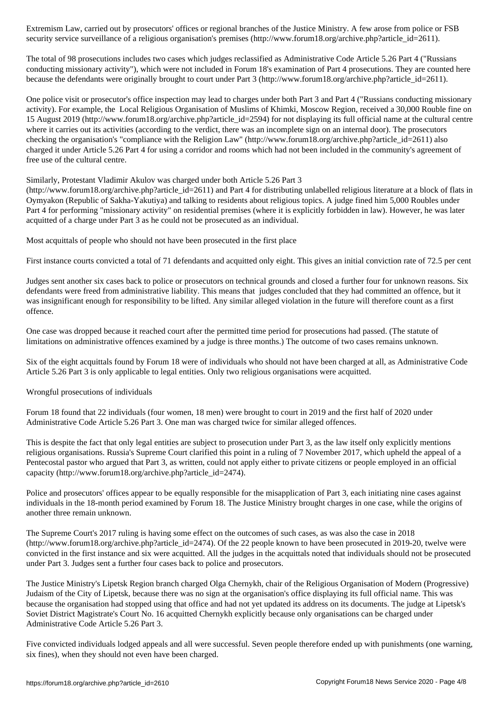security service surveillance of a religious organisation's premises (http://www.forum18.org/archive.php?article\_id=2611).

The total of 98 prosecutions includes two cases which judges reclassified as Administrative Code Article 5.26 Part 4 ("Russians conducting missionary activity"), which were not included in Forum 18's examination of Part 4 prosecutions. They are counted here because the defendants were originally brought to court under Part 3 (http://www.forum18.org/archive.php?article\_id=2611).

One police visit or prosecutor's office inspection may lead to charges under both Part 3 and Part 4 ("Russians conducting missionary activity). For example, the Local Religious Organisation of Muslims of Khimki, Moscow Region, received a 30,000 Rouble fine on 15 August 2019 (http://www.forum18.org/archive.php?article\_id=2594) for not displaying its full official name at the cultural centre where it carries out its activities (according to the verdict, there was an incomplete sign on an internal door). The prosecutors checking the organisation's "compliance with the Religion Law" (http://www.forum18.org/archive.php?article\_id=2611) also charged it under Article 5.26 Part 4 for using a corridor and rooms which had not been included in the community's agreement of free use of the cultural centre.

Similarly, Protestant Vladimir Akulov was charged under both Article 5.26 Part 3

(http://www.forum18.org/archive.php?article\_id=2611) and Part 4 for distributing unlabelled religious literature at a block of flats in Oymyakon (Republic of Sakha-Yakutiya) and talking to residents about religious topics. A judge fined him 5,000 Roubles under Part 4 for performing "missionary activity" on residential premises (where it is explicitly forbidden in law). However, he was later acquitted of a charge under Part 3 as he could not be prosecuted as an individual.

Most acquittals of people who should not have been prosecuted in the first place

First instance courts convicted a total of 71 defendants and acquitted only eight. This gives an initial conviction rate of 72.5 per cent

Judges sent another six cases back to police or prosecutors on technical grounds and closed a further four for unknown reasons. Six defendants were freed from administrative liability. This means that judges concluded that they had committed an offence, but it was insignificant enough for responsibility to be lifted. Any similar alleged violation in the future will therefore count as a first offence.

One case was dropped because it reached court after the permitted time period for prosecutions had passed. (The statute of limitations on administrative offences examined by a judge is three months.) The outcome of two cases remains unknown.

Six of the eight acquittals found by Forum 18 were of individuals who should not have been charged at all, as Administrative Code Article 5.26 Part 3 is only applicable to legal entities. Only two religious organisations were acquitted.

Wrongful prosecutions of individuals

Forum 18 found that 22 individuals (four women, 18 men) were brought to court in 2019 and the first half of 2020 under Administrative Code Article 5.26 Part 3. One man was charged twice for similar alleged offences.

This is despite the fact that only legal entities are subject to prosecution under Part 3, as the law itself only explicitly mentions religious organisations. Russia's Supreme Court clarified this point in a ruling of 7 November 2017, which upheld the appeal of a Pentecostal pastor who argued that Part 3, as written, could not apply either to private citizens or people employed in an official capacity (http://www.forum18.org/archive.php?article\_id=2474).

Police and prosecutors' offices appear to be equally responsible for the misapplication of Part 3, each initiating nine cases against individuals in the 18-month period examined by Forum 18. The Justice Ministry brought charges in one case, while the origins of another three remain unknown.

The Supreme Court's 2017 ruling is having some effect on the outcomes of such cases, as was also the case in 2018  $(\text{http://www.forum18.org/architecture.php?article id=2474).$  Of the 22 people known to have been prosecuted in 2019-20, twelve were convicted in the first instance and six were acquitted. All the judges in the acquittals noted that individuals should not be prosecuted under Part 3. Judges sent a further four cases back to police and prosecutors.

The Justice Ministry's Lipetsk Region branch charged Olga Chernykh, chair of the Religious Organisation of Modern (Progressive) Judaism of the City of Lipetsk, because there was no sign at the organisation's office displaying its full official name. This was because the organisation had stopped using that office and had not yet updated its address on its documents. The judge at Lipetsk's Soviet District Magistrate's Court No. 16 acquitted Chernykh explicitly because only organisations can be charged under Administrative Code Article 5.26 Part 3.

Five convicted individuals lodged appeals and all were successful. Seven people therefore ended up with punishments (one warning, six fines), when they should not even have been charged.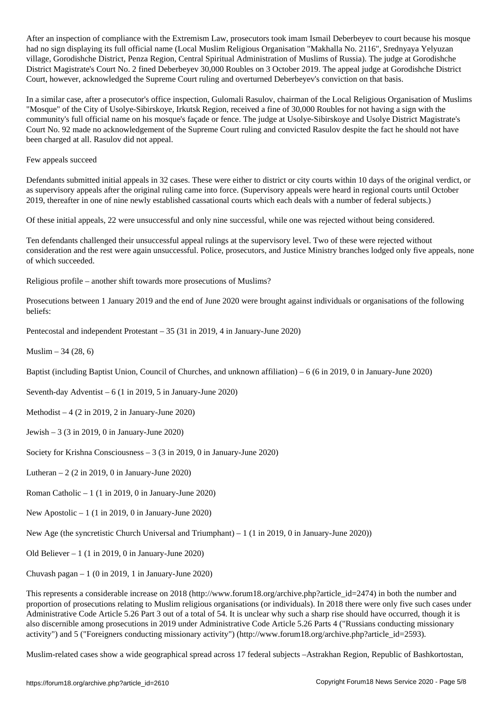After an inspection of compliance with the Extremism Law, prosecutors to court because his mosque his mosque h had no sign displaying its full official name (Local Muslim Religious Organisation "Makhalla No. 2116", Srednyaya Yelyuzan village, Gorodishche District, Penza Region, Central Spiritual Administration of Muslims of Russia). The judge at Gorodishche District Magistrate's Court No. 2 fined Deberbeyev 30,000 Roubles on 3 October 2019. The appeal judge at Gorodishche District Court, however, acknowledged the Supreme Court ruling and overturned Deberbeyev's conviction on that basis.

In a similar case, after a prosecutor's office inspection, Gulomali Rasulov, chairman of the Local Religious Organisation of Muslims "Mosque" of the City of Usolye-Sibirskoye, Irkutsk Region, received a fine of 30,000 Roubles for not having a sign with the community's full official name on his mosque's façade or fence. The judge at Usolye-Sibirskoye and Usolye District Magistrate's Court No. 92 made no acknowledgement of the Supreme Court ruling and convicted Rasulov despite the fact he should not have been charged at all. Rasulov did not appeal.

Few appeals succeed

Defendants submitted initial appeals in 32 cases. These were either to district or city courts within 10 days of the original verdict, or as supervisory appeals after the original ruling came into force. (Supervisory appeals were heard in regional courts until October 2019, thereafter in one of nine newly established cassational courts which each deals with a number of federal subjects.)

Of these initial appeals, 22 were unsuccessful and only nine successful, while one was rejected without being considered.

Ten defendants challenged their unsuccessful appeal rulings at the supervisory level. Two of these were rejected without consideration and the rest were again unsuccessful. Police, prosecutors, and Justice Ministry branches lodged only five appeals, none of which succeeded.

Religious profile – another shift towards more prosecutions of Muslims?

Prosecutions between 1 January 2019 and the end of June 2020 were brought against individuals or organisations of the following beliefs:

Pentecostal and independent Protestant – 35 (31 in 2019, 4 in January-June 2020)

Muslim – 34 (28, 6)

Baptist (including Baptist Union, Council of Churches, and unknown affiliation) – 6 (6 in 2019, 0 in January-June 2020)

Seventh-day Adventist  $-6$  (1 in 2019, 5 in January-June 2020)

Methodist  $-4$  (2 in 2019, 2 in January-June 2020)

- Jewish 3 (3 in 2019, 0 in January-June 2020)
- Society for Krishna Consciousness 3 (3 in 2019, 0 in January-June 2020)

Lutheran  $-2$  (2 in 2019, 0 in January-June 2020)

Roman Catholic  $-1$  (1 in 2019, 0 in January-June 2020)

New Apostolic  $-1$  (1 in 2019, 0 in January-June 2020)

New Age (the syncretistic Church Universal and Triumphant) – 1 (1 in 2019, 0 in January-June 2020))

Old Believer – 1 (1 in 2019, 0 in January-June 2020)

Chuvash pagan  $-1$  (0 in 2019, 1 in January-June 2020)

This represents a considerable increase on 2018 (http://www.forum18.org/archive.php?article\_id=2474) in both the number and proportion of prosecutions relating to Muslim religious organisations (or individuals). In 2018 there were only five such cases under Administrative Code Article 5.26 Part 3 out of a total of 54. It is unclear why such a sharp rise should have occurred, though it is also discernible among prosecutions in 2019 under Administrative Code Article 5.26 Parts 4 ("Russians conducting missionary activity") and 5 ("Foreigners conducting missionary activity") (http://www.forum18.org/archive.php?article\_id=2593).

Muslim-related cases show a wide geographical spread across 17 federal subjects –Astrakhan Region, Republic of Bashkortostan,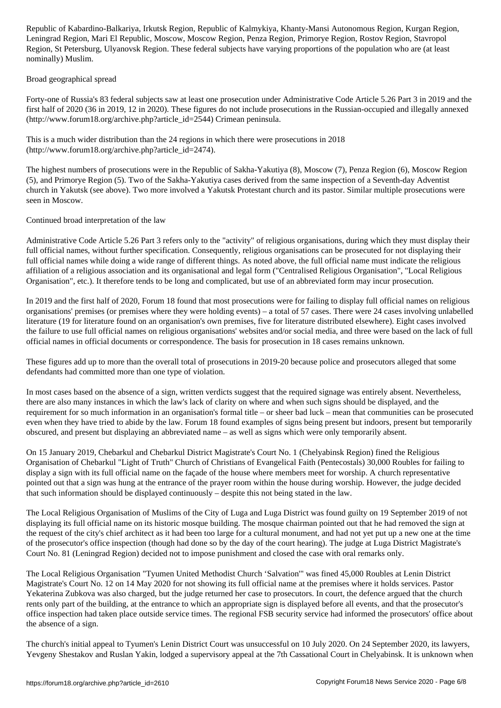Leningrad Region, Mari El Republic, Moscow, Moscow Region, Penza Region, Primorye Region, Rostov Region, Stavropol Region, St Petersburg, Ulyanovsk Region. These federal subjects have varying proportions of the population who are (at least nominally) Muslim.

## Broad geographical spread

Forty-one of Russia's 83 federal subjects saw at least one prosecution under Administrative Code Article 5.26 Part 3 in 2019 and the first half of 2020 (36 in 2019, 12 in 2020). These figures do not include prosecutions in the Russian-occupied and illegally annexed (http://www.forum18.org/archive.php?article\_id=2544) Crimean peninsula.

This is a much wider distribution than the 24 regions in which there were prosecutions in 2018 (http://www.forum18.org/archive.php?article\_id=2474).

The highest numbers of prosecutions were in the Republic of Sakha-Yakutiya (8), Moscow (7), Penza Region (6), Moscow Region (5), and Primorye Region (5). Two of the Sakha-Yakutiya cases derived from the same inspection of a Seventh-day Adventist church in Yakutsk (see above). Two more involved a Yakutsk Protestant church and its pastor. Similar multiple prosecutions were seen in Moscow.

# Continued broad interpretation of the law

Administrative Code Article 5.26 Part 3 refers only to the "activity" of religious organisations, during which they must display their full official names, without further specification. Consequently, religious organisations can be prosecuted for not displaying their full official names while doing a wide range of different things. As noted above, the full official name must indicate the religious affiliation of a religious association and its organisational and legal form ("Centralised Religious Organisation", "Local Religious Organisation", etc.). It therefore tends to be long and complicated, but use of an abbreviated form may incur prosecution.

In 2019 and the first half of 2020, Forum 18 found that most prosecutions were for failing to display full official names on religious organisations' premises (or premises where they were holding events) – a total of 57 cases. There were 24 cases involving unlabelled literature (19 for literature found on an organisation's own premises, five for literature distributed elsewhere). Eight cases involved the failure to use full official names on religious organisations' websites and/or social media, and three were based on the lack of full official names in official documents or correspondence. The basis for prosecution in 18 cases remains unknown.

These figures add up to more than the overall total of prosecutions in 2019-20 because police and prosecutors alleged that some defendants had committed more than one type of violation.

In most cases based on the absence of a sign, written verdicts suggest that the required signage was entirely absent. Nevertheless, there are also many instances in which the law's lack of clarity on where and when such signs should be displayed, and the requirement for so much information in an organisation's formal title – or sheer bad luck – mean that communities can be prosecuted even when they have tried to abide by the law. Forum 18 found examples of signs being present but indoors, present but temporarily obscured, and present but displaying an abbreviated name – as well as signs which were only temporarily absent.

On 15 January 2019, Chebarkul and Chebarkul District Magistrate's Court No. 1 (Chelyabinsk Region) fined the Religious Organisation of Chebarkul "Light of Truth" Church of Christians of Evangelical Faith (Pentecostals) 30,000 Roubles for failing to display a sign with its full official name on the façade of the house where members meet for worship. A church representative pointed out that a sign was hung at the entrance of the prayer room within the house during worship. However, the judge decided that such information should be displayed continuously – despite this not being stated in the law.

The Local Religious Organisation of Muslims of the City of Luga and Luga District was found guilty on 19 September 2019 of not displaying its full official name on its historic mosque building. The mosque chairman pointed out that he had removed the sign at the request of the city's chief architect as it had been too large for a cultural monument, and had not yet put up a new one at the time of the prosecutor's office inspection (though had done so by the day of the court hearing). The judge at Luga District Magistrate's Court No. 81 (Leningrad Region) decided not to impose punishment and closed the case with oral remarks only.

The Local Religious Organisation "Tyumen United Methodist Church 'Salvation'" was fined 45,000 Roubles at Lenin District Magistrate's Court No. 12 on 14 May 2020 for not showing its full official name at the premises where it holds services. Pastor Yekaterina Zubkova was also charged, but the judge returned her case to prosecutors. In court, the defence argued that the church rents only part of the building, at the entrance to which an appropriate sign is displayed before all events, and that the prosecutor's office inspection had taken place outside service times. The regional FSB security service had informed the prosecutors' office about the absence of a sign.

The church's initial appeal to Tyumen's Lenin District Court was unsuccessful on 10 July 2020. On 24 September 2020, its lawyers, Yevgeny Shestakov and Ruslan Yakin, lodged a supervisory appeal at the 7th Cassational Court in Chelyabinsk. It is unknown when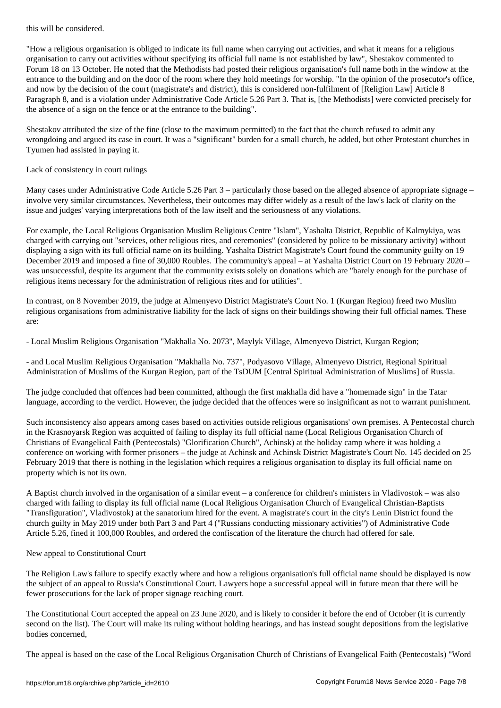"How a religious organisation is obliged to indicate its full name when carrying out activities, and what it means for a religious organisation to carry out activities without specifying its official full name is not established by law", Shestakov commented to Forum 18 on 13 October. He noted that the Methodists had posted their religious organisation's full name both in the window at the entrance to the building and on the door of the room where they hold meetings for worship. "In the opinion of the prosecutor's office, and now by the decision of the court (magistrate's and district), this is considered non-fulfilment of [Religion Law] Article 8 Paragraph 8, and is a violation under Administrative Code Article 5.26 Part 3. That is, [the Methodists] were convicted precisely for the absence of a sign on the fence or at the entrance to the building".

Shestakov attributed the size of the fine (close to the maximum permitted) to the fact that the church refused to admit any wrongdoing and argued its case in court. It was a "significant" burden for a small church, he added, but other Protestant churches in Tyumen had assisted in paying it.

# Lack of consistency in court rulings

Many cases under Administrative Code Article 5.26 Part 3 – particularly those based on the alleged absence of appropriate signage – involve very similar circumstances. Nevertheless, their outcomes may differ widely as a result of the law's lack of clarity on the issue and judges' varying interpretations both of the law itself and the seriousness of any violations.

For example, the Local Religious Organisation Muslim Religious Centre "Islam", Yashalta District, Republic of Kalmykiya, was charged with carrying out "services, other religious rites, and ceremonies" (considered by police to be missionary activity) without displaying a sign with its full official name on its building. Yashalta District Magistrate's Court found the community guilty on 19 December 2019 and imposed a fine of 30,000 Roubles. The community's appeal – at Yashalta District Court on 19 February 2020 – was unsuccessful, despite its argument that the community exists solely on donations which are "barely enough for the purchase of religious items necessary for the administration of religious rites and for utilities".

In contrast, on 8 November 2019, the judge at Almenyevo District Magistrate's Court No. 1 (Kurgan Region) freed two Muslim religious organisations from administrative liability for the lack of signs on their buildings showing their full official names. These are:

- Local Muslim Religious Organisation "Makhalla No. 2073", Maylyk Village, Almenyevo District, Kurgan Region;

- and Local Muslim Religious Organisation "Makhalla No. 737", Podyasovo Village, Almenyevo District, Regional Spiritual Administration of Muslims of the Kurgan Region, part of the TsDUM [Central Spiritual Administration of Muslims] of Russia.

The judge concluded that offences had been committed, although the first makhalla did have a "homemade sign" in the Tatar language, according to the verdict. However, the judge decided that the offences were so insignificant as not to warrant punishment.

Such inconsistency also appears among cases based on activities outside religious organisations' own premises. A Pentecostal church in the Krasnoyarsk Region was acquitted of failing to display its full official name (Local Religious Organisation Church of Christians of Evangelical Faith (Pentecostals) "Glorification Church", Achinsk) at the holiday camp where it was holding a conference on working with former prisoners – the judge at Achinsk and Achinsk District Magistrate's Court No. 145 decided on 25 February 2019 that there is nothing in the legislation which requires a religious organisation to display its full official name on property which is not its own.

A Baptist church involved in the organisation of a similar event – a conference for children's ministers in Vladivostok – was also charged with failing to display its full official name (Local Religious Organisation Church of Evangelical Christian-Baptists "Transfiguration", Vladivostok) at the sanatorium hired for the event. A magistrate's court in the city's Lenin District found the church guilty in May 2019 under both Part 3 and Part 4 ("Russians conducting missionary activities") of Administrative Code Article 5.26, fined it 100,000 Roubles, and ordered the confiscation of the literature the church had offered for sale.

## New appeal to Constitutional Court

The Religion Law's failure to specify exactly where and how a religious organisation's full official name should be displayed is now the subject of an appeal to Russia's Constitutional Court. Lawyers hope a successful appeal will in future mean that there will be fewer prosecutions for the lack of proper signage reaching court.

The Constitutional Court accepted the appeal on 23 June 2020, and is likely to consider it before the end of October (it is currently second on the list). The Court will make its ruling without holding hearings, and has instead sought depositions from the legislative bodies concerned,

The appeal is based on the case of the Local Religious Organisation Church of Christians of Evangelical Faith (Pentecostals) "Word